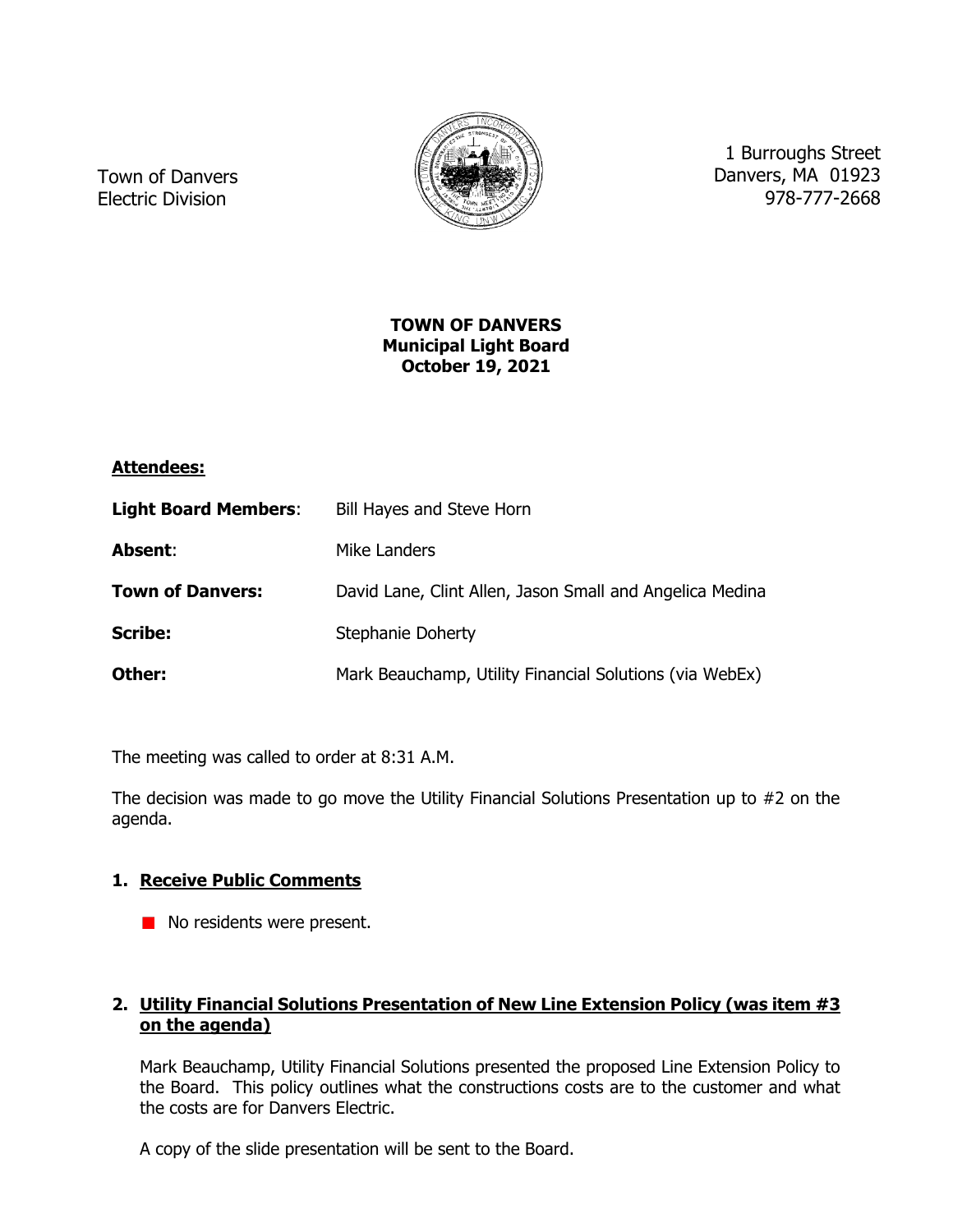

Town of Danvers Electric Division

1 Burroughs Street Danvers, MA 01923 978-777-2668

## **TOWN OF DANVERS Municipal Light Board October 19, 2021**

# **Attendees:**

| <b>Light Board Members:</b> | <b>Bill Hayes and Steve Horn</b>                         |
|-----------------------------|----------------------------------------------------------|
| Absent:                     | Mike Landers                                             |
| <b>Town of Danvers:</b>     | David Lane, Clint Allen, Jason Small and Angelica Medina |
| <b>Scribe:</b>              | <b>Stephanie Doherty</b>                                 |
| Other:                      | Mark Beauchamp, Utility Financial Solutions (via WebEx)  |

The meeting was called to order at 8:31 A.M.

The decision was made to go move the Utility Financial Solutions Presentation up to #2 on the agenda.

# **1. Receive Public Comments**

No residents were present.

# **2. Utility Financial Solutions Presentation of New Line Extension Policy (was item #3 on the agenda)**

Mark Beauchamp, Utility Financial Solutions presented the proposed Line Extension Policy to the Board. This policy outlines what the constructions costs are to the customer and what the costs are for Danvers Electric.

A copy of the slide presentation will be sent to the Board.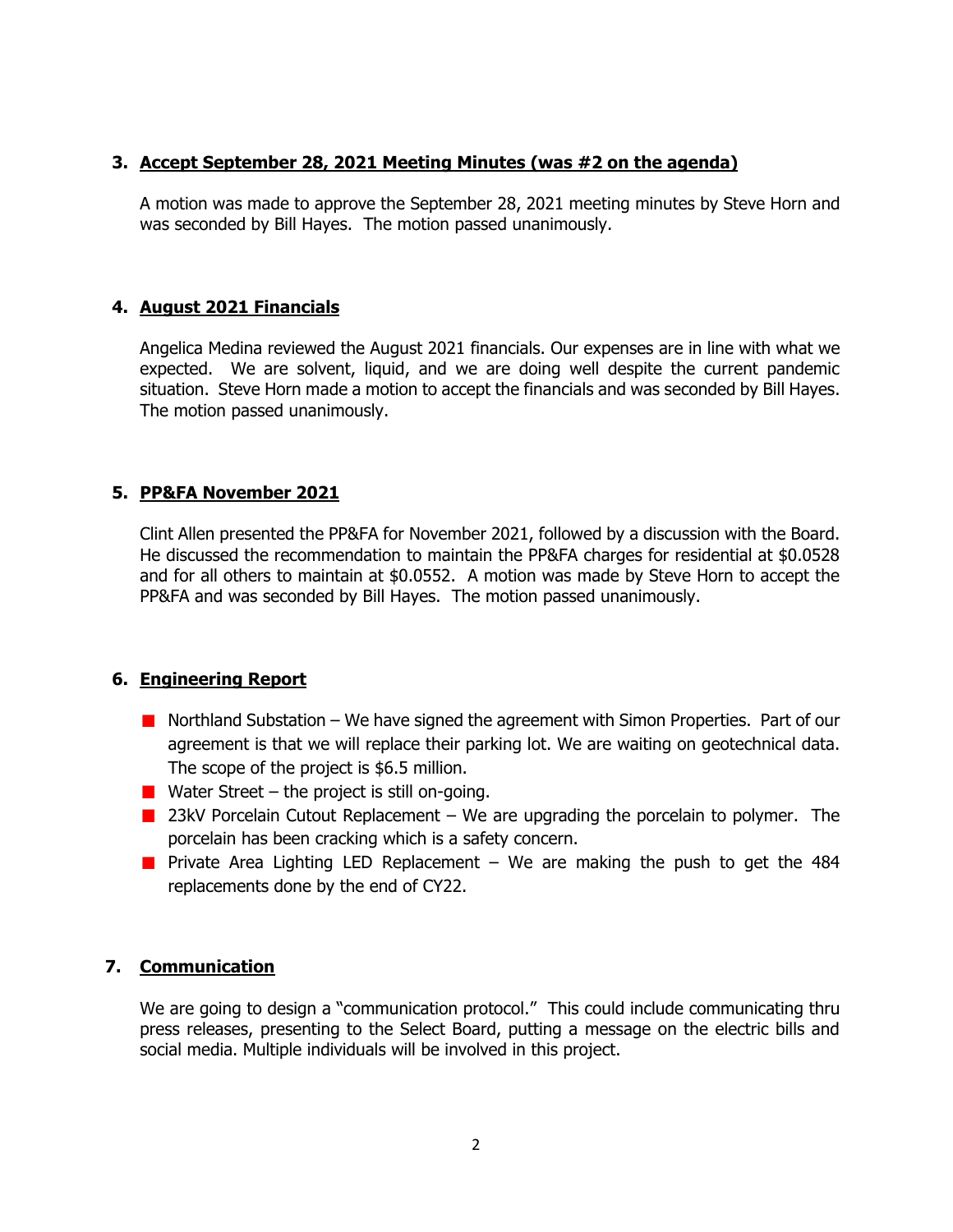## **3. Accept September 28, 2021 Meeting Minutes (was #2 on the agenda)**

A motion was made to approve the September 28, 2021 meeting minutes by Steve Horn and was seconded by Bill Hayes. The motion passed unanimously.

### **4. August 2021 Financials**

Angelica Medina reviewed the August 2021 financials. Our expenses are in line with what we expected. We are solvent, liquid, and we are doing well despite the current pandemic situation. Steve Horn made a motion to accept the financials and was seconded by Bill Hayes. The motion passed unanimously.

### **5. PP&FA November 2021**

Clint Allen presented the PP&FA for November 2021, followed by a discussion with the Board. He discussed the recommendation to maintain the PP&FA charges for residential at \$0.0528 and for all others to maintain at \$0.0552. A motion was made by Steve Horn to accept the PP&FA and was seconded by Bill Hayes. The motion passed unanimously.

### **6. Engineering Report**

- Northland Substation We have signed the agreement with Simon Properties. Part of our agreement is that we will replace their parking lot. We are waiting on geotechnical data. The scope of the project is \$6.5 million.
- **Water Street the project is still on-going.**
- **23kV Porcelain Cutout Replacement We are upgrading the porcelain to polymer.** The porcelain has been cracking which is a safety concern.
- **Private Area Lighting LED Replacement** We are making the push to get the 484 replacements done by the end of CY22.

# **7. Communication**

We are going to design a "communication protocol." This could include communicating thru press releases, presenting to the Select Board, putting a message on the electric bills and social media. Multiple individuals will be involved in this project.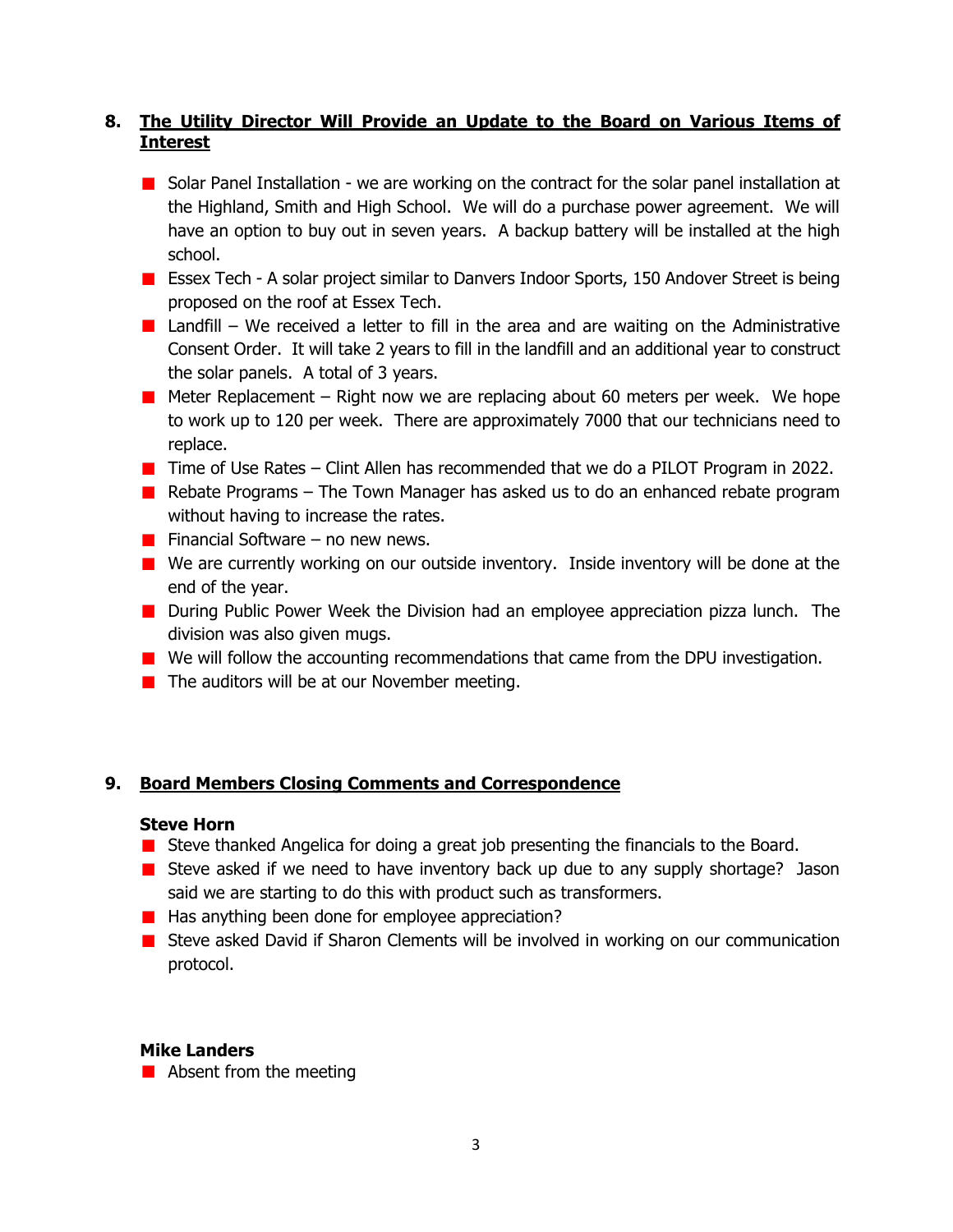# **8. The Utility Director Will Provide an Update to the Board on Various Items of Interest**

- **B** Solar Panel Installation we are working on the contract for the solar panel installation at the Highland, Smith and High School. We will do a purchase power agreement. We will have an option to buy out in seven years. A backup battery will be installed at the high school.
- **ESSEX Tech A solar project similar to Danvers Indoor Sports, 150 Andover Street is being** proposed on the roof at Essex Tech.
- **Landfill** We received a letter to fill in the area and are waiting on the Administrative Consent Order. It will take 2 years to fill in the landfill and an additional year to construct the solar panels. A total of 3 years.
- **Meter Replacement Right now we are replacing about 60 meters per week. We hope** to work up to 120 per week. There are approximately 7000 that our technicians need to replace.
- **The States Clint Allen has recommended that we do a PILOT Program in 2022.**
- **Rebate Programs The Town Manager has asked us to do an enhanced rebate program** without having to increase the rates.
- **Financial Software no new news.**
- We are currently working on our outside inventory. Inside inventory will be done at the end of the year.
- **During Public Power Week the Division had an employee appreciation pizza lunch.** The division was also given mugs.
- We will follow the accounting recommendations that came from the DPU investigation.
- $\blacksquare$  The auditors will be at our November meeting.

### **9. Board Members Closing Comments and Correspondence**

#### **Steve Horn**

- **Steve thanked Angelica for doing a great job presenting the financials to the Board.**
- **E** Steve asked if we need to have inventory back up due to any supply shortage? Jason said we are starting to do this with product such as transformers.
- $\blacksquare$  Has anything been done for employee appreciation?
- Steve asked David if Sharon Clements will be involved in working on our communication protocol.

### **Mike Landers**

 $\blacksquare$  Absent from the meeting